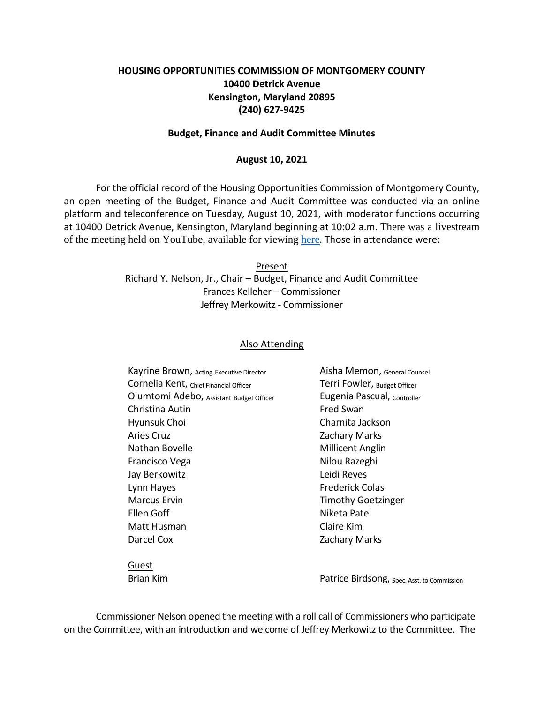# **HOUSING OPPORTUNITIES COMMISSION OF MONTGOMERY COUNTY 10400 Detrick Avenue Kensington, Maryland 20895 (240) 627-9425**

### **Budget, Finance and Audit Committee Minutes**

#### **August 10, 2021**

For the official record of the Housing Opportunities Commission of Montgomery County, an open meeting of the Budget, Finance and Audit Committee was conducted via an online platform and teleconference on Tuesday, August 10, 2021, with moderator functions occurring at 10400 Detrick Avenue, Kensington, Maryland beginning at 10:02 a.m. There was a livestream of the meeting held on YouTube, available for viewing [here](https://youtu.be/6eRvXur_qIQ). Those in attendance were:

> Present Richard Y. Nelson, Jr., Chair – Budget, Finance and Audit Committee Frances Kelleher – Commissioner Jeffrey Merkowitz - Commissioner

## Also Attending

| Kayrine Brown, Acting Executive Director | Aisha Memon, General Counsel |
|------------------------------------------|------------------------------|
| Cornelia Kent, Chief Financial Officer   | Terri Fowler, Budget Officer |
| Olumtomi Adebo, Assistant Budget Officer | Eugenia Pascual, Controller  |
| Christina Autin                          | <b>Fred Swan</b>             |
| Hyunsuk Choi                             | Charnita Jackson             |
| <b>Aries Cruz</b>                        | <b>Zachary Marks</b>         |
| Nathan Bovelle                           | <b>Millicent Anglin</b>      |
| Francisco Vega                           | Nilou Razeghi                |
| Jay Berkowitz                            | Leidi Reyes                  |
| Lynn Hayes                               | <b>Frederick Colas</b>       |
| <b>Marcus Ervin</b>                      | <b>Timothy Goetzinger</b>    |
| Ellen Goff                               | Niketa Patel                 |
| Matt Husman                              | Claire Kim                   |
| Darcel Cox                               | <b>Zachary Marks</b>         |
|                                          |                              |

Guest

Brian Kim **Patrice Birdsong**, Spec. Asst. to Commission

Commissioner Nelson opened the meeting with a roll call of Commissioners who participate on the Committee, with an introduction and welcome of Jeffrey Merkowitz to the Committee. The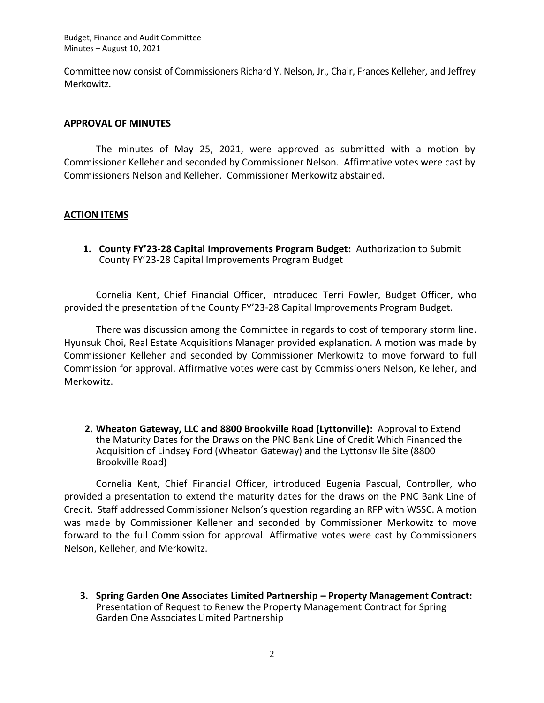Budget, Finance and Audit Committee Minutes – August 10, 2021

Committee now consist of Commissioners Richard Y. Nelson, Jr., Chair, Frances Kelleher, and Jeffrey Merkowitz.

## **APPROVAL OF MINUTES**

The minutes of May 25, 2021, were approved as submitted with a motion by Commissioner Kelleher and seconded by Commissioner Nelson. Affirmative votes were cast by Commissioners Nelson and Kelleher. Commissioner Merkowitz abstained.

# **ACTION ITEMS**

**1. County FY'23-28 Capital Improvements Program Budget:** Authorization to Submit County FY'23-28 Capital Improvements Program Budget

Cornelia Kent, Chief Financial Officer, introduced Terri Fowler, Budget Officer, who provided the presentation of the County FY'23-28 Capital Improvements Program Budget.

There was discussion among the Committee in regards to cost of temporary storm line. Hyunsuk Choi, Real Estate Acquisitions Manager provided explanation. A motion was made by Commissioner Kelleher and seconded by Commissioner Merkowitz to move forward to full Commission for approval. Affirmative votes were cast by Commissioners Nelson, Kelleher, and Merkowitz.

**2. Wheaton Gateway, LLC and 8800 Brookville Road (Lyttonville):** Approval to Extend the Maturity Dates for the Draws on the PNC Bank Line of Credit Which Financed the Acquisition of Lindsey Ford (Wheaton Gateway) and the Lyttonsville Site (8800 Brookville Road)

Cornelia Kent, Chief Financial Officer, introduced Eugenia Pascual, Controller, who provided a presentation to extend the maturity dates for the draws on the PNC Bank Line of Credit. Staff addressed Commissioner Nelson's question regarding an RFP with WSSC. A motion was made by Commissioner Kelleher and seconded by Commissioner Merkowitz to move forward to the full Commission for approval. Affirmative votes were cast by Commissioners Nelson, Kelleher, and Merkowitz.

**3. Spring Garden One Associates Limited Partnership – Property Management Contract:** Presentation of Request to Renew the Property Management Contract for Spring Garden One Associates Limited Partnership